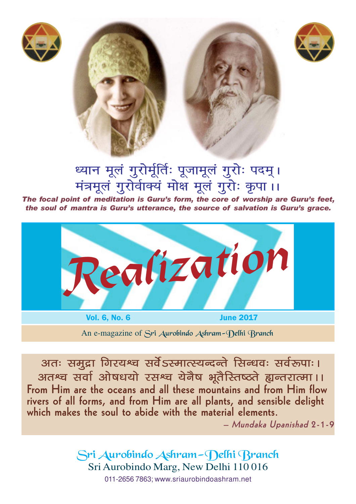



# ध्यान मूलं गुरोर्मूर्तिः पूजामूलं गुरोः पदम्। मंत्रमूलं गुरोर्वाक्यं मोक्ष मूलं गुरोः कृपा।।

*The focal point of meditation is Guru's form, the core of worship are Guru's feet, the soul of mantra is Guru's utterance, the source of salvation is Guru's grace.*



An e-magazine of Sri Aurobindo Ashram-Delhi Branch

अतः समुद्रा गिरयश्च सर्वेऽस्मात्स्यन्दन्ते सिन्धवः सर्वरूपाः। अतश्च सर्वा ओषधयो रसश्च येनैष भूतैरितष्ठते ह्यन्तरात्मा।। **From Him are the oceans and all these mountains and from Him flow rivers of all forms, and from Him are all plants, and sensible delight which makes the soul to abide with the material elements.**

**– Mundaka Upanishad 2-1-9**

Sri Aurobindo Ashram-Delhi Branch Sri Aurobindo Marg, New Delhi 110 016

011-2656 7863; www.sriaurobindoashram.net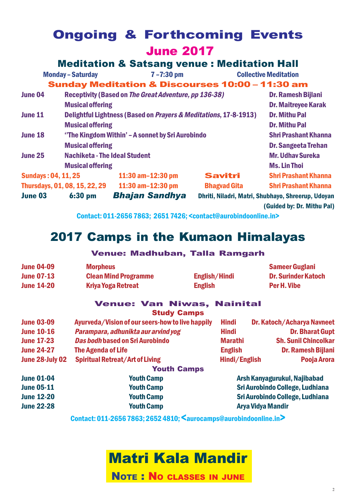# Ongoing & Forthcoming Events June 2017

### Meditation & Satsang venue : Meditation Hall

Monday – Saturday **7 – 7:30 pm** Collective Meditation Sunday Meditation & Discourses 10:00 – 11:30 am June 04 Receptivity (Based on The Great Adventure, pp 136-38) Dr. Ramesh Bijlani Musical offering **Dr. Maitreyee Karak** June 11 Delightful Lightness (Based on *Prayers & Meditations*, 17-8-1913) Dr. Mithu Pal Musical offering **Dr. Mithu Palmack Community** Dr. Mithu Palmack Community Dr. Mithu Palmack Community Dr. Mithu Palmack Community Dr. Mithu Palmack Community Dr. Mithu Palmack Community Dr. Mithu Palmack Community Dr. Mit June 18 ''The Kingdom Within' – A sonnet by Sri Aurobindo Shri Prashant Khanna Musical offering Dr. Sangeeta Trehan June 25 Nachiketa - The Ideal Student Mr. Udhav Sureka Musical offering Musical offering Ms. Lin Thoi masical offering<br>Sundays : 04, 11, 25 11:30 am–12:30 pm Savitri Shri Prashant Khanna Thursdays, 01, 08, 15, 22, 29 11:30 am–12:30 pm Bhagvad Gita Shri Prashant Khanna June 03 6:30 pm *Bhajan Sandhya* Dhriti, Niladri, Matri, Shubhayo, Shreerup, Udoyan

(Guided by: Dr. Mithu Pal)

Contact: 011-2656 7863; 2651 7426; <contact@aurobindoonline.in>

# 2017 Camps in the Kumaon Himalayas

### Venue: Madhuban, Talla Ramgarh

| <b>June 04-09</b> | <b>Morpheus</b>             |                | <b>Sameer Guglani</b>      |
|-------------------|-----------------------------|----------------|----------------------------|
| <b>June 07-13</b> | <b>Clean Mind Programme</b> | English/Hindi  | <b>Dr. Surinder Katoch</b> |
| <b>June 14-20</b> | Kriya Yoga Retreat          | <b>English</b> | Per H. Vibe                |

#### Venue: Van Niwas, Nainital Study Camps

| <b>June 03-09</b>      | Ayurveda/Vision of our seers-how to live happily | <b>Hindi</b>                    | Dr. Katoch/Acharya Navneet  |
|------------------------|--------------------------------------------------|---------------------------------|-----------------------------|
| <b>June 10-16</b>      | Parampara, adhunikta aur arvind yog              | <b>Hindi</b>                    | <b>Dr. Bharat Gupt</b>      |
| <b>June 17-23</b>      | Das bodh based on Sri Aurobindo                  |                                 | <b>Sh. Sunil Chincolkar</b> |
| <b>June 24-27</b>      | <b>The Agenda of Life</b>                        |                                 | <b>Dr. Ramesh Bijlani</b>   |
| <b>June 28-July 02</b> | <b>Spiritual Retreat/Art of Living</b>           | Hindi/English                   | Pooja Arora                 |
|                        | <b>Youth Camps</b>                               |                                 |                             |
| <b>June 01-04</b>      | <b>Youth Camp</b>                                | Arsh Kanyagurukul, Najibabad    |                             |
| <b>June 05-11</b>      | <b>Youth Camp</b>                                | Sri Aurobindo College, Ludhiana |                             |
| <b>June 12-20</b>      | <b>Youth Camp</b>                                | Sri Aurobindo College, Ludhiana |                             |
| <b>June 22-28</b>      | <b>Youth Camp</b>                                | <b>Arya Vidya Mandir</b>        |                             |
|                        |                                                  |                                 |                             |

Contact: 011-2656 7863; 2652 4810;  $\leq$ aurocamps@aurobindoonline.in $>$ 

# Matri Kala Mandir

NOTE : NO CLASSES IN JUNE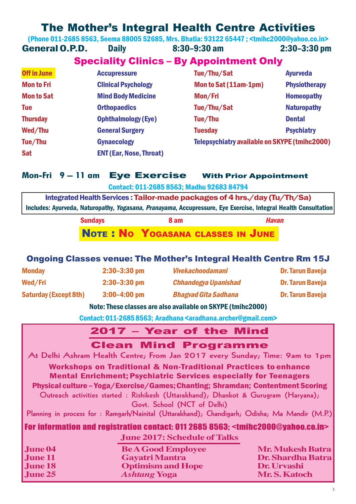## The Mother's Integral Health Centre Activities

(Phone 011-2685 8563, Seema 88005 52685, Mrs. Bhatia: 93122 65447 ; <tmihc2000@yahoo.co.in> General O.P.D. Daily 8:30–9:30 am 2:30–3:30 pm

Speciality Clinics – By Appointment Only

**Off in June 19th Accupressure Contract Ave Ave Accupressure Contract Ave Avurveda** Mon to Fri Clinical Psychology Mon to Sat (11am-1pm) Physiotherapy Mon to Sat Mind Body Medicine Mon/Fri Monto Sat Homeopathy Tue **Tue/Thu/Sat** Naturopathy Thursday **Ophthalmology (Eye)** Tue/Thu Dental Wed/Thu General Surgery – Tuesday – 9 am Psychiatry Tue/Thu Gynaecology Telepsychiatry available on SKYPE (tmihc2000) Sat ENT (Ear, Nose, Throat)

### Mon-Fri 9 – 11 am Eye Exercise With Prior Appointment

Contact: 011-2685 8563; Madhu 92683 84794

Integrated Health Services : Tailor-made packages of 4 hrs./day (Tu/Th/Sa) Includes: Ayurveda, Naturopathy, Yogasana, Pranayama, Accupressure, Eye Exercise, Integral Health Consultation

> Sundays **8** am **Havan** NOTE : NO YOGASANA CLASSES IN JUNE

## Ongoing Classes venue: The Mother's Integral Health Centre Rm 15J

| <b>Monday</b>                | $2:30 - 3:30$ pm | Vivekachoodamani            | <b>Dr. Tarun Baveja</b> |
|------------------------------|------------------|-----------------------------|-------------------------|
| Wed/Fri                      | $2:30 - 3:30$ pm | Chhandogya Upanishad        | <b>Dr. Tarun Baveja</b> |
| <b>Saturday (Except 8th)</b> | $3:00-4:00$ pm   | <b>Bhagyad Gita Sadhana</b> | <b>Dr. Tarun Baveja</b> |

### Note: These classes are also available on SKYPE (tmihc2000)

Contact: 011-2685 8563; Aradhana <aradhana.archer@gmail.com>

## 2017 – Year of the Mind

Clean Mind Programme

**At Delhi Ashram Health Centre; From Jan 2017 every Sunday; Time: 9am to 1pm**

Workshops on Traditional & Non-Traditional Practices to enhance Mental Enrichment; Psychiatric Services especially for Teenagers Physical culture – Yoga/Exercise/Games; Chanting; Shramdan; Contentment Scoring

**Outreach activities started : Rishikesh (Uttarakhand); Dhankot & Gurugram (Haryana); Govt. School (NCT of Delhi)**

**Planning in process for : Ramgarh/Nainital (Uttarakhand); Chandigarh; Odisha; Ma Mandir (M.P.)**

For information and registration contact: 011 2685 8563; <tmihc2000@yahoo.co.in>

**June 2017: Schedule of Talks**

| <b>June 04</b> | <b>Be A Good Employee</b> | <b>Mr. Mukesh Batra</b>  |
|----------------|---------------------------|--------------------------|
| <b>June 11</b> | <b>Gayatri Mantra</b>     | <b>Dr. Shardha Batra</b> |
| <b>June 18</b> | <b>Optimism and Hope</b>  | Dr. Urvashi              |
| June 25        | <b>Ashtang Yoga</b>       | <b>Mr. S. Katoch</b>     |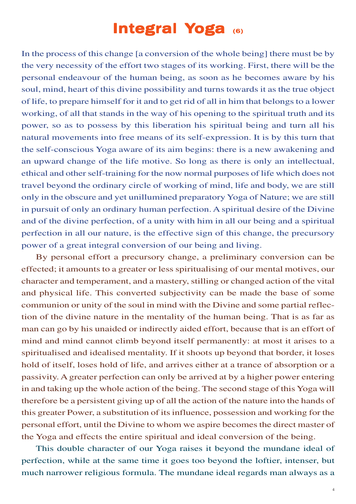# Integral Yoga (6)

In the process of this change [a conversion of the whole being] there must be by the very necessity of the effort two stages of its working. First, there will be the personal endeavour of the human being, as soon as he becomes aware by his soul, mind, heart of this divine possibility and turns towards it as the true object of life, to prepare himself for it and to get rid of all in him that belongs to a lower working, of all that stands in the way of his opening to the spiritual truth and its power, so as to possess by this liberation his spiritual being and turn all his natural movements into free means of its self-expression. It is by this turn that the self-conscious Yoga aware of its aim begins: there is a new awakening and an upward change of the life motive. So long as there is only an intellectual, ethical and other self-training for the now normal purposes of life which does not travel beyond the ordinary circle of working of mind, life and body, we are still only in the obscure and yet unillumined preparatory Yoga of Nature; we are still in pursuit of only an ordinary human perfection. A spiritual desire of the Divine and of the divine perfection, of a unity with him in all our being and a spiritual perfection in all our nature, is the effective sign of this change, the precursory power of a great integral conversion of our being and living.

By personal effort a precursory change, a preliminary conversion can be effected; it amounts to a greater or less spiritualising of our mental motives, our character and temperament, and a mastery, stilling or changed action of the vital and physical life. This converted subjectivity can be made the base of some communion or unity of the soul in mind with the Divine and some partial reflection of the divine nature in the mentality of the human being. That is as far as man can go by his unaided or indirectly aided effort, because that is an effort of mind and mind cannot climb beyond itself permanently: at most it arises to a spiritualised and idealised mentality. If it shoots up beyond that border, it loses hold of itself, loses hold of life, and arrives either at a trance of absorption or a passivity. A greater perfection can only be arrived at by a higher power entering in and taking up the whole action of the being. The second stage of this Yoga will therefore be a persistent giving up of all the action of the nature into the hands of this greater Power, a substitution of its influence, possession and working for the personal effort, until the Divine to whom we aspire becomes the direct master of the Yoga and effects the entire spiritual and ideal conversion of the being.

This double character of our Yoga raises it beyond the mundane ideal of perfection, while at the same time it goes too beyond the loftier, intenser, but much narrower religious formula. The mundane ideal regards man always as a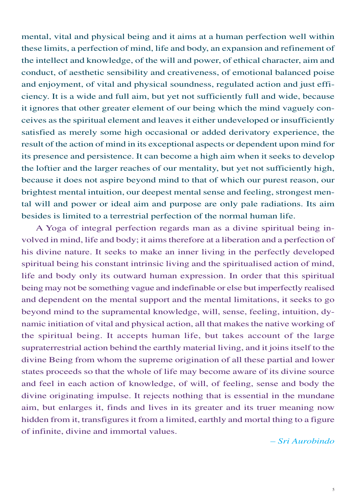mental, vital and physical being and it aims at a human perfection well within these limits, a perfection of mind, life and body, an expansion and refinement of the intellect and knowledge, of the will and power, of ethical character, aim and conduct, of aesthetic sensibility and creativeness, of emotional balanced poise and enjoyment, of vital and physical soundness, regulated action and just efficiency. It is a wide and full aim, but yet not sufficiently full and wide, because it ignores that other greater element of our being which the mind vaguely conceives as the spiritual element and leaves it either undeveloped or insufficiently satisfied as merely some high occasional or added derivatory experience, the result of the action of mind in its exceptional aspects or dependent upon mind for its presence and persistence. It can become a high aim when it seeks to develop the loftier and the larger reaches of our mentality, but yet not sufficiently high, because it does not aspire beyond mind to that of which our purest reason, our brightest mental intuition, our deepest mental sense and feeling, strongest mental will and power or ideal aim and purpose are only pale radiations. Its aim besides is limited to a terrestrial perfection of the normal human life.

A Yoga of integral perfection regards man as a divine spiritual being involved in mind, life and body; it aims therefore at a liberation and a perfection of his divine nature. It seeks to make an inner living in the perfectly developed spiritual being his constant intrinsic living and the spiritualised action of mind, life and body only its outward human expression. In order that this spiritual being may not be something vague and indefinable or else but imperfectly realised and dependent on the mental support and the mental limitations, it seeks to go beyond mind to the supramental knowledge, will, sense, feeling, intuition, dynamic initiation of vital and physical action, all that makes the native working of the spiritual being. It accepts human life, but takes account of the large supraterrestrial action behind the earthly material living, and it joins itself to the divine Being from whom the supreme origination of all these partial and lower states proceeds so that the whole of life may become aware of its divine source and feel in each action of knowledge, of will, of feeling, sense and body the divine originating impulse. It rejects nothing that is essential in the mundane aim, but enlarges it, finds and lives in its greater and its truer meaning now hidden from it, transfigures it from a limited, earthly and mortal thing to a figure of infinite, divine and immortal values.

– *Sri Aurobindo*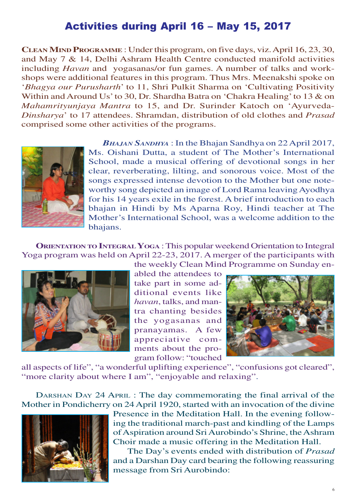## Activities during April 16 – May 15, 2017

**CLEAN MIND PROGRAMME** : Under this program, on five days, viz. April 16, 23, 30, and May 7 & 14, Delhi Ashram Health Centre conducted manifold activities including *Havan* and yogasanas/or fun games. A number of talks and workshops were additional features in this program. Thus Mrs. Meenakshi spoke on '*Bhagya our Purusharth*' to 11, Shri Pulkit Sharma on 'Cultivating Positivity Within and Around Us' to 30, Dr. Shardha Batra on 'Chakra Healing' to 13 & on *Mahamrityunjaya Mantra* to 15, and Dr. Surinder Katoch on 'Ayurveda-*Dinsharya*' to 17 attendees. Shramdan, distribution of old clothes and *Prasad* comprised some other activities of the programs.



*BHAJAN SANDHYA* : In the Bhajan Sandhya on 22 April 2017, Ms. Oishani Dutta, a student of The Mother's International School, made a musical offering of devotional songs in her clear, reverberating, lilting, and sonorous voice. Most of the songs expressed intense devotion to the Mother but one noteworthy song depicted an image of Lord Rama leaving Ayodhya for his 14 years exile in the forest. A brief introduction to each bhajan in Hindi by Ms Aparna Roy, Hindi teacher at The Mother's International School, was a welcome addition to the bhajans.

the weekly Clean Mind Programme on Sunday en-

**ORIENTATION TO INTEGRAL YOGA** : This popular weekend Orientation to Integral Yoga program was held on April 22-23, 2017. A merger of the participants with



abled the attendees to take part in some additional events like *havan*, talks, and mantra chanting besides the yogasanas and pranayamas. A few appreciative comments about the program follow: "touched



all aspects of life", "a wonderful uplifting experience", "confusions got cleared", "more clarity about where I am", "enjoyable and relaxing".

DARSHAN DAY 24 APRIL : The day commemorating the final arrival of the Mother in Pondicherry on 24 April 1920, started with an invocation of the divine



Presence in the Meditation Hall. In the evening following the traditional march-past and kindling of the Lamps of Aspiration around Sri Aurobindo's Shrine, the Ashram Choir made a music offering in the Meditation Hall.

The Day's events ended with distribution of *Prasad* and a Darshan Day card bearing the following reassuring message from Sri Aurobindo: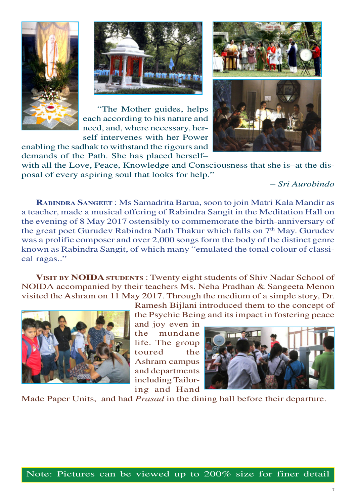



"The Mother guides, helps each according to his nature and need, and, where necessary, herself intervenes with her Power

enabling the sadhak to withstand the rigours and demands of the Path. She has placed herself–





with all the Love, Peace, Knowledge and Consciousness that she is–at the disposal of every aspiring soul that looks for help."

#### – *Sri Aurobindo*

**RABINDRA SANGEET** : Ms Samadrita Barua, soon to join Matri Kala Mandir as a teacher, made a musical offering of Rabindra Sangit in the Meditation Hall on the evening of 8 May 2017 ostensibly to commemorate the birth-anniversary of the great poet Gurudev Rabindra Nath Thakur which falls on 7<sup>th</sup> May. Gurudev was a prolific composer and over 2,000 songs form the body of the distinct genre known as Rabindra Sangit, of which many "emulated the tonal colour of classical ragas.."

**VISIT BY NOIDASTUDENTS** : Twenty eight students of Shiv Nadar School of NOIDA accompanied by their teachers Ms. Neha Pradhan & Sangeeta Menon visited the Ashram on 11 May 2017. Through the medium of a simple story, Dr.



Ramesh Bijlani introduced them to the concept of the Psychic Being and its impact in fostering peace

and joy even in the mundane life. The group toured the Ashram campus and departments including Tailoring and Hand



Made Paper Units, and had *Prasad* in the dining hall before their departure.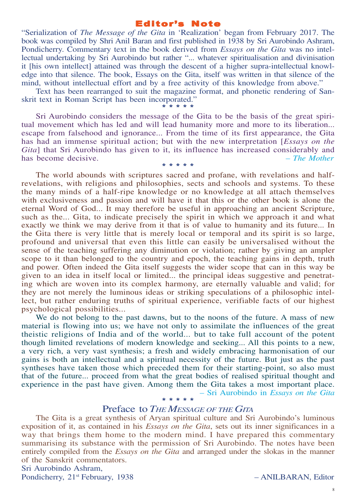### Editor's Note

"Serialization of *The Message of the Gita* in 'Realization' began from February 2017. The book was compiled by Shri Anil Baran and first published in 1938 by Sri Aurobindo Ashram, Pondicherry. Commentary text in the book derived from *Essays on the Gita* was no intellectual undertaking by Sri Aurobindo but rather "... whatever spiritualisation and divinisation it [his own intellect] attained was through the descent of a higher supra-intellectual knowledge into that silence. The book, Essays on the Gita, itself was written in that silence of the mind, without intellectual effort and by a free activity of this knowledge from above."

Text has been rearranged to suit the magazine format, and phonetic rendering of Sanskrit text in Roman Script has been incorporated." \* \* \* \* \*

Sri Aurobindo considers the message of the Gita to be the basis of the great spiritual movement which has led and will lead humanity more and more to its liberation... escape from falsehood and ignorance... From the time of its first appearance, the Gita has had an immense spiritual action; but with the new interpretation [*Essays on the Gita*] that Sri Aurobindo has given to it, its influence has increased considerably and has become decisive. **Figure 1** *Channel and the Mother Channel and the Mother* **<b>***Channel Mother Channel Mother* \* \* \* \* \*

The world abounds with scriptures sacred and profane, with revelations and halfrevelations, with religions and philosophies, sects and schools and systems. To these the many minds of a half-ripe knowledge or no knowledge at all attach themselves with exclusiveness and passion and will have it that this or the other book is alone the eternal Word of God... It may therefore be useful in approaching an ancient Scripture, such as the... Gita, to indicate precisely the spirit in which we approach it and what exactly we think we may derive from it that is of value to humanity and its future... In the Gita there is very little that is merely local or temporal and its spirit is so large, profound and universal that even this little can easily be universalised without the sense of the teaching suffering any diminution or violation; rather by giving an ampler scope to it than belonged to the country and epoch, the teaching gains in depth, truth and power. Often indeed the Gita itself suggests the wider scope that can in this way be given to an idea in itself local or limited... the principal ideas suggestive and penetrating which are woven into its complex harmony, are eternally valuable and valid; for they are not merely the luminous ideas or striking speculations of a philosophic intellect, but rather enduring truths of spiritual experience, verifiable facts of our highest psychological possibilities...

We do not belong to the past dawns, but to the noons of the future. A mass of new material is flowing into us; we have not only to assimilate the influences of the great theistic religions of India and of the world... but to take full account of the potent though limited revelations of modern knowledge and seeking... All this points to a new, a very rich, a very vast synthesis; a fresh and widely embracing harmonisation of our gains is both an intellectual and a spiritual necessity of the future. But just as the past syntheses have taken those which preceded them for their starting-point, so also must that of the future... proceed from what the great bodies of realised spiritual thought and experience in the past have given. Among them the Gita takes a most important place. – Sri Aurobindo in *Essays on the Gita* \* \* \* \* \*

#### Preface to *THE MESSAGE OF THE GITA*

The Gita is a great synthesis of Aryan spiritual culture and Sri Aurobindo's luminous exposition of it, as contained in his *Essays on the Gita*, sets out its inner significances in a way that brings them home to the modern mind. I have prepared this commentary summarising its substance with the permission of Sri Aurobindo. The notes have been entirely compiled from the *Essays on the Gita* and arranged under the slokas in the manner of the Sanskrit commentators.

Sri Aurobindo Ashram,

Pondicherry, 21<sup>st</sup> February, 1938 – ANILBARAN, Editor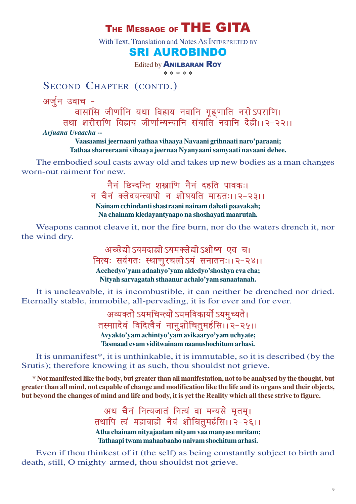# THE MESSAGE OF THE GITA

With Text, Translation and Notes As INTERPRETED BY

## **SRI AUROBINDO**

**Edited by ANILBARAN ROY** 

SECOND CHAPTER (CONTD.)

अर्जन उवाच -

वासांसि जीर्णानि यथा विहाय नवानि गृहणाति नरो ऽपराणि।

तथा शरीराणि विहाय जीर्णान्यन्यानि संयाति नवानि देही।।२-२२।। Arjuana Uvaacha --

> Vaasaamsi jeernaani vathaa vihaava Navaani grihnaati naro'paraani; Tathaa shareeraani vihaaya jeernaa Nyanyaani samyaati navaani dehee.

The embodied soul casts away old and takes up new bodies as a man changes worn-out raiment for new.

> नैनं छिन्दन्ति शस्त्राणि नैनं दहति पावकः। न चैनं क्लेदयन्त्यापो न शोषयति मारुतः।।२-२३।। Nainam cchindanti shastraani nainam dahati paavakah; Na chainam kledavantvaapo na shoshavati maarutah.

Weapons cannot cleave it, nor the fire burn, nor do the waters drench it, nor the wind dry.

> अच्छेद्यो ऽयमदाह्यो ऽयमक्लेद्यो ऽशोष्य एव च। नित्यः सर्वगतः स्थाणुरचलोऽयं सनातनः।।२-२४।। Acchedyo'yam adaahyo'yam akledyo'shoshya eva cha; Nityah sarvagatah sthaanur achalo'yam sanaatanah.

It is uncleavable, it is incombustible, it can neither be drenched nor dried. Eternally stable, immobile, all-pervading, it is for ever and for ever.

> अव्यक्तो ऽयमचिन्त्यो ऽयमविकार्यो ऽयमुच्यते। तस्माादेवं विदित्वैनं नानुशोचितुमर्हसि।।२-२५।। Avyakto'yam achintyo'yam avikaaryo'yam uchyate; Tasmaad evam viditwainam naanushochitum arhasi.

It is unmanifest\*, it is unthinkable, it is immutable, so it is described (by the Srutis); therefore knowing it as such, thou shouldst not grieve.

\* Not manifested like the body, but greater than all manifestation, not to be analysed by the thought, but greater than all mind, not capable of change and modification like the life and its organs and their objects, but beyond the changes of mind and life and body, it is yet the Reality which all these strive to figure.

> अथ चैनं नित्यजातं नित्यं वा मन्यसे मृतम्। तथापि त्वं महाबाहो नैवं शोचितुमर्हसि।।२-२६।। Atha chainam nityajaatam nityam vaa manyase mritam; Tathaapi twam mahaabaaho naivam shochitum arhasi.

Even if thou thinkest of it (the self) as being constantly subject to birth and death, still, O mighty-armed, thou shouldst not grieve.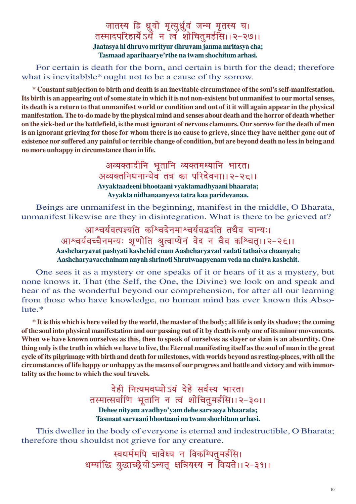# जातस्य हि ध्रुवो मृत्युर्ध्रुवं जन्म मृतस्य च।<br>तस्मादपरिहार्येऽर्थे न त्वं शोचितुमर्हसि।।२−२७।। Jaatasya hi dhruvo mrityur dhruvam janma mritasya cha; Tasmaad aparihaarye'rthe na twam shochitum arhasi.

For certain is death for the born, and certain is birth for the dead; therefore what is inevitable\* ought not to be a cause of thy sorrow.

\* Constant subjection to birth and death is an inevitable circumstance of the soul's self-manifestation. Its birth is an appearing out of some state in which it is not non-existent but unmanifest to our mortal senses, its death is a return to that unmanifest world or condition and out of it it will again appear in the physical manifestation. The to-do made by the physical mind and senses about death and the horror of death whether on the sick-bed or the battlefield, is the most ignorant of nervous clamours. Our sorrow for the death of men is an ignorant grieving for those for whom there is no cause to grieve, since they have neither gone out of existence nor suffered any painful or terrible change of condition, but are beyond death no less in being and no more unhappy in circumstance than in life.

> अव्यक्तादीनि भूतानि व्यक्तमध्यानि भारत। अव्यक्तनिधनान्येव तत्र का परिदेवना।।२-२८।। Avyaktaadeeni bhootaani vyaktamadhyaani bhaarata; Avyakta nidhanaanyeva tatra kaa paridevanaa.

Beings are unmanifest in the beginning, manifest in the middle, O Bharata, unmanifest likewise are they in disintegration. What is there to be grieved at?

> आश्चर्यवत्पश्यति कश्चिदेनमाश्चर्यवद्वदति तथैव चान्यः। आश्चर्यवच्चैनमन्यः शृणोति श्रुत्वाप्येनं वेद न चैव कश्चित्।।२-२६।। Aashcharyavat pashyati kashchid enam Aashcharyavad vadati tathaiva chaanvah; Aashcharyavacchainam anyah shrinoti Shrutwaapyenam veda na chaiva kashchit.

One sees it as a mystery or one speaks of it or hears of it as a mystery, but none knows it. That (the Self, the One, the Divine) we look on and speak and hear of as the wonderful beyond our comprehension, for after all our learning from those who have knowledge, no human mind has ever known this Abso- $\ln$ te. $*$ 

\* It is this which is here veiled by the world, the master of the body; all life is only its shadow; the coming of the soul into physical manifestation and our passing out of it by death is only one of its minor movements. When we have known ourselves as this, then to speak of ourselves as slayer or slain is an absurdity. One thing only is the truth in which we have to live, the Eternal manifesting itself as the soul of man in the great cycle of its pilgrimage with birth and death for milestones, with worlds beyond as resting-places, with all the circumstances of life happy or unhappy as the means of our progress and battle and victory and with immortality as the home to which the soul travels.

> देही नित्यमवध्योऽयं देहे सर्वस्य भारत। तस्मात्सर्वाणि भूतानि न त्वं शोचितुमर्हसि।।२-३०।। Dehee nityam avadhyo'vam dehe sarvasva bhaarata: Tasmaat sarvaani bhootaani na twam shochitum arhasi.

This dweller in the body of everyone is eternal and indestructible, O Bharata; therefore thou shouldst not grieve for any creature.

स्वधर्ममपि चावेक्ष्य न विकम्पितुमर्हसि।<br>धर्म्याख्रि युद्धाच्छ्रेयोऽन्यत् क्षत्रियस्य न विद्यते।।२-३१।।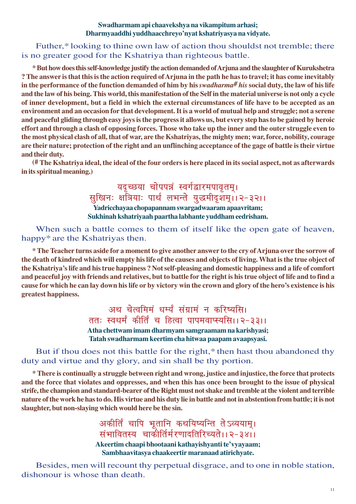#### **Swadharmam api chaavekshya na vikampitum arhasi; Dharmyaaddhi yuddhaacchreyo'nyat kshatriyasya na vidyate.**

Futher,\*looking to thine own law of action thou shouldst not tremble; there is no greater good for the Kshatriya than righteous battle.

**\* But how does this self-knowledge justify the action demanded of Arjuna and the slaughter of Kurukshetra ? The answer is that this is the action required of Arjuna in the path he has to travel; it has come inevitably in the performance of the function demanded of him by his** *swadharma# his* **social duty, the law of his life and the law of his being. This world, this manifestation of the Self in the material universe is not only a cycle of inner development, but a field in which the external circumstances of life have to be accepted as an environment and an occasion for that development. It is a world of mutual help and struggle; not a serene and peaceful gliding through easy joys is the progress it allows us, but every step has to be gained by heroic effort and through a clash of opposing forces. Those who take up the inner and the outer struggle even to the most physical clash of all, that of war, are the Kshatriyas, the mighty men; war, force, nobility, courage are their nature; protection of the right and an unflinching acceptance of the gage of battle is their virtue and their duty.**

**(# The Kshatriya ideal, the ideal of the four orders is here placed in its social aspect, not as afterwards in its spiritual meaning.)**

> यदृच्छया चोपपन्<mark>नं</mark> स्वर्गद्वारमपावृतम्। सुखिनः क्षत्रियाः पार्थ लभन्ते युद्धमीदृशम्।।२−३२।। **Yadricchayaa chopapannam swargadwaaram apaavritam; Sukhinah kshatriyaah paartha labhante yuddham eedrisham.**

When such a battle comes to them of itself like the open gate of heaven, happy\* are the Kshatriyas then.

**\* The Teacher turns aside for a moment to give another answer to the cry of Arjuna over the sorrow of the death of kindred which will empty his life of the causes and objects of living. What is the true object of the Kshatriya's life and his true happiness ? Not self-pleasing and domestic happiness and a life of comfort and peaceful joy with friends and relatives, but to battle for the right is his true object of life and to find a cause for which he can lay down his life or by victory win the crown and glory of the hero's existence is his greatest happiness.**

> अथ चेत्वमिमं धर्म्यं संग्रामं न करिष्यसि। ततः स्वधर्मं कीर्तिं च हित्वा पापमवाप्स्यसि।।२-३३।। **Atha chettwam imam dharmyam samgraamam na karishyasi; Tatah swadharmam keertim cha hitwaa paapam avaapsyasi.**

But if thou does not this battle for the right,\* then hast thou abandoned thy duty and virtue and thy glory, and sin shall be thy portion.

**\* There is continually a struggle between right and wrong, justice and injustice, the force that protects and the force that violates and oppresses, and when this has once been brought to the issue of physical strife, the champion and standard-bearer of the Right must not shake and tremble at the violent and terrible nature of the work he has to do. His virtue and his duty lie in battle and not in abstention from battle; it is not slaughter, but non-slaying which would here be the sin.**

> अकीर्तिं चापि भूतानि कथयिष्यन्ति तेऽव्ययाम<mark>्</mark>। संभावितस्य चार्कोर्तिर्मरणादतिरिच्यते।।२-३४ $\overline{1}$ । **Akeertim chaapi bhootaani kathayishyanti te'vyayaam; Sambhaavitasya chaakeertir maranaad atirichyate.**

Besides, men will recount thy perpetual disgrace, and to one in noble station, dishonour is whose than death.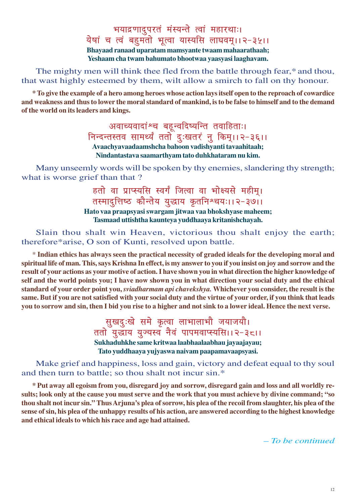### भयाद्रणादुपरतं मंस्यन्ते त्वां महारथाः। येषां च त्वं बहुमतो भूत्वा यास्यसि लाघवम् ।।२-३५।। **Bhayaad ranaad uparatam mamsyante twaam mahaarathaah; Yeshaam cha twam bahumato bhootwaa yaasyasi laaghavam.**

The mighty men will think thee fled from the battle through fear,\* and thou, that wast highly esteemed by them, wilt allow a smirch to fall on thy honour.

**\* To give the example of a hero among heroes whose action lays itself open to the reproach of cowardice and weakness and thus to lower the moral standard of mankind, is to be false to himself and to the demand of the world on its leaders and kings.**

> अवाच्यवादांश्च बहून्वदिष्यन्ति तवाहिताः। निन्दन्तस्तव सामर्थ्यं ततो<sup>े</sup>दुःखतरं नु किम्।।२-३६।। **Avaachyavaadaamshcha bahoon vadishyanti tavaahitaah; Nindantastava saamarthyam tato duhkhataram nu kim.**

Many unseemly words will be spoken by thy enemies, slandering thy strength; what is worse grief than that ?

> हतो वा प्राप्स्यसि स्वर्गं जित्वा वा भोक्ष्यसे महीम्। तस्मादुत्तिष्ठ कौन्तेय युद्धाय कृतनिश्चयः।।२-३७।। **Hato vaa praapsyasi swargam jitwaa vaa bhokshyase maheem; Tasmaad uttishtha kaunteya yuddhaaya kritanishchayah.**

Slain thou shalt win Heaven, victorious thou shalt enjoy the earth; therefore\*arise, O son of Kunti, resolved upon battle.

\* **Indian ethics has always seen the practical necessity of graded ideals for the developing moral and spiritual life of man. This, says Krishna In effect, is my answer to you if you insist on joy and sorrow and the result of your actions as your motive of action. I have shown you in what direction the higher knowledge of self and the world points you; I have now shown you in what direction your social duty and the ethical standard of your order point you,** *sviadharmam api chavekshya.* **Whichever you consider, the result is the same. But if you are not satisfied with your social duty and the virtue of your order, if you think that leads you to sorrow and sin, then I bid you rise to a higher and not sink to a lower ideal. Hence the next verse.**

> सुखदुःखे समे कृत्वा लाभालाभौ जयाजयौ। ततो युद्धाय युज्यस्व नैवं पापमवाप्स्यसि।।२-३८।। **Sukhaduhkhe same kritwaa laabhaalaabhau jayaajayau; Tato yuddhaaya yujyaswa naivam paapamavaapsyasi.**

Make grief and happiness, loss and gain, victory and defeat equal to thy soul and then turn to battle; so thou shalt not incur sin.\*

**\* Put away all egoism from you, disregard joy and sorrow, disregard gain and loss and all worldly results; look only at the cause you must serve and the work that you must achieve by divine command; "so thou shalt not incur sin." Thus Arjuna's plea of sorrow, his plea of the recoil from slaughter, his plea of the sense of sin, his plea of the unhappy results of his action, are answered according to the highest knowledge and ethical ideals to which his race and age had attained.**

– *To be continued*